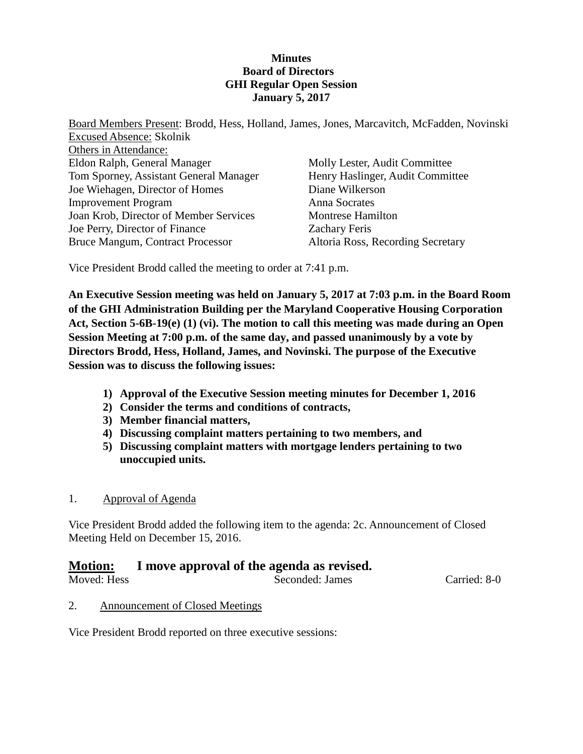### **Minutes Board of Directors GHI Regular Open Session January 5, 2017**

Board Members Present: Brodd, Hess, Holland, James, Jones, Marcavitch, McFadden, Novinski Excused Absence: Skolnik Others in Attendance: Eldon Ralph, General Manager Tom Sporney, Assistant General Manager Joe Wiehagen, Director of Homes Improvement Program Joan Krob, Director of Member Services Joe Perry, Director of Finance Bruce Mangum, Contract Processor Molly Lester, Audit Committee Henry Haslinger, Audit Committee Diane Wilkerson Anna Socrates Montrese Hamilton Zachary Feris Altoria Ross, Recording Secretary

Vice President Brodd called the meeting to order at 7:41 p.m.

**An Executive Session meeting was held on January 5, 2017 at 7:03 p.m. in the Board Room of the GHI Administration Building per the Maryland Cooperative Housing Corporation Act, Section 5-6B-19(e) (1) (vi). The motion to call this meeting was made during an Open Session Meeting at 7:00 p.m. of the same day, and passed unanimously by a vote by Directors Brodd, Hess, Holland, James, and Novinski. The purpose of the Executive Session was to discuss the following issues:**

- **1) Approval of the Executive Session meeting minutes for December 1, 2016**
- **2) Consider the terms and conditions of contracts,**
- **3) Member financial matters,**
- **4) Discussing complaint matters pertaining to two members, and**
- **5) Discussing complaint matters with mortgage lenders pertaining to two unoccupied units.**
- 1. Approval of Agenda

Vice President Brodd added the following item to the agenda: 2c. Announcement of Closed Meeting Held on December 15, 2016.

### **Motion: I move approval of the agenda as revised.**

Moved: Hess Seconded: James Carried: 8-0

2. Announcement of Closed Meetings

Vice President Brodd reported on three executive sessions: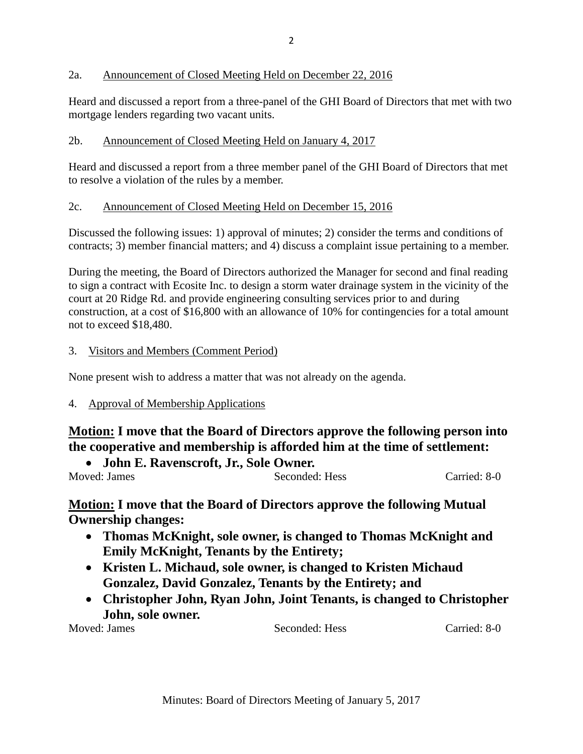### 2a. Announcement of Closed Meeting Held on December 22, 2016

Heard and discussed a report from a three-panel of the GHI Board of Directors that met with two mortgage lenders regarding two vacant units.

### 2b. Announcement of Closed Meeting Held on January 4, 2017

Heard and discussed a report from a three member panel of the GHI Board of Directors that met to resolve a violation of the rules by a member.

### 2c. Announcement of Closed Meeting Held on December 15, 2016

Discussed the following issues: 1) approval of minutes; 2) consider the terms and conditions of contracts; 3) member financial matters; and 4) discuss a complaint issue pertaining to a member.

During the meeting, the Board of Directors authorized the Manager for second and final reading to sign a contract with Ecosite Inc. to design a storm water drainage system in the vicinity of the court at 20 Ridge Rd. and provide engineering consulting services prior to and during construction, at a cost of \$16,800 with an allowance of 10% for contingencies for a total amount not to exceed \$18,480.

### 3. Visitors and Members (Comment Period)

None present wish to address a matter that was not already on the agenda.

### 4. Approval of Membership Applications

# **Motion: I move that the Board of Directors approve the following person into the cooperative and membership is afforded him at the time of settlement:**

• **John E. Ravenscroft, Jr., Sole Owner.**

Moved: James Seconded: Hess Carried: 8-0

### **Motion: I move that the Board of Directors approve the following Mutual Ownership changes:**

- **Thomas McKnight, sole owner, is changed to Thomas McKnight and Emily McKnight, Tenants by the Entirety;**
- **Kristen L. Michaud, sole owner, is changed to Kristen Michaud Gonzalez, David Gonzalez, Tenants by the Entirety; and**
- **Christopher John, Ryan John, Joint Tenants, is changed to Christopher John, sole owner.**<br>Moved: James

Seconded: Hess Carried: 8-0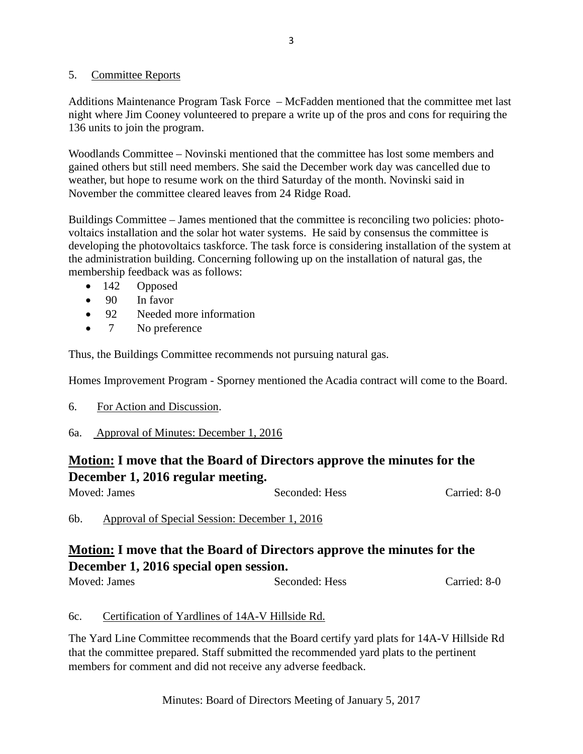#### 5. Committee Reports

Additions Maintenance Program Task Force – McFadden mentioned that the committee met last night where Jim Cooney volunteered to prepare a write up of the pros and cons for requiring the 136 units to join the program.

Woodlands Committee – Novinski mentioned that the committee has lost some members and gained others but still need members. She said the December work day was cancelled due to weather, but hope to resume work on the third Saturday of the month. Novinski said in November the committee cleared leaves from 24 Ridge Road.

Buildings Committee – James mentioned that the committee is reconciling two policies: photovoltaics installation and the solar hot water systems. He said by consensus the committee is developing the photovoltaics taskforce. The task force is considering installation of the system at the administration building. Concerning following up on the installation of natural gas, the membership feedback was as follows:

- 142 Opposed
- 90 In favor
- 92 Needed more information
- 7 No preference

Thus, the Buildings Committee recommends not pursuing natural gas.

Homes Improvement Program - Sporney mentioned the Acadia contract will come to the Board.

- 6. For Action and Discussion.
- 6a. Approval of Minutes: December 1, 2016

# **Motion: I move that the Board of Directors approve the minutes for the December 1, 2016 regular meeting.**

| Moved: James | Seconded: Hess | Carried: 8-0 |
|--------------|----------------|--------------|
|              |                |              |

6b. Approval of Special Session: December 1, 2016

# **Motion: I move that the Board of Directors approve the minutes for the December 1, 2016 special open session.**

Moved: James Seconded: Hess Carried: 8-0

### 6c. Certification of Yardlines of 14A-V Hillside Rd.

The Yard Line Committee recommends that the Board certify yard plats for 14A-V Hillside Rd that the committee prepared. Staff submitted the recommended yard plats to the pertinent members for comment and did not receive any adverse feedback.

Minutes: Board of Directors Meeting of January 5, 2017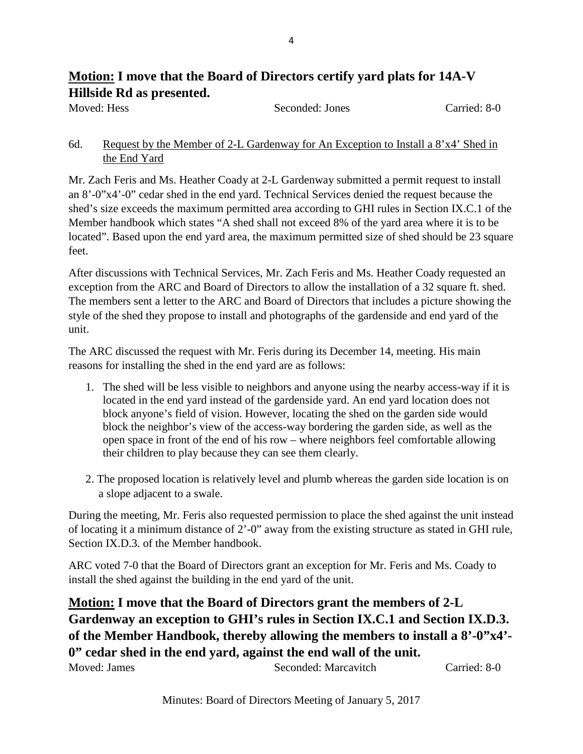# **Motion: I move that the Board of Directors certify yard plats for 14A-V Hillside Rd as presented.**

Moved: Hess Seconded: Jones Carried: 8-0

### 6d. Request by the Member of 2-L Gardenway for An Exception to Install a 8'x4' Shed in the End Yard

Mr. Zach Feris and Ms. Heather Coady at 2-L Gardenway submitted a permit request to install an 8'-0"x4'-0" cedar shed in the end yard. Technical Services denied the request because the shed's size exceeds the maximum permitted area according to GHI rules in Section IX.C.1 of the Member handbook which states "A shed shall not exceed 8% of the yard area where it is to be located". Based upon the end yard area, the maximum permitted size of shed should be 23 square feet.

After discussions with Technical Services, Mr. Zach Feris and Ms. Heather Coady requested an exception from the ARC and Board of Directors to allow the installation of a 32 square ft. shed. The members sent a letter to the ARC and Board of Directors that includes a picture showing the style of the shed they propose to install and photographs of the gardenside and end yard of the unit.

The ARC discussed the request with Mr. Feris during its December 14, meeting. His main reasons for installing the shed in the end yard are as follows:

- 1. The shed will be less visible to neighbors and anyone using the nearby access-way if it is located in the end yard instead of the gardenside yard. An end yard location does not block anyone's field of vision. However, locating the shed on the garden side would block the neighbor's view of the access-way bordering the garden side, as well as the open space in front of the end of his row – where neighbors feel comfortable allowing their children to play because they can see them clearly.
- 2. The proposed location is relatively level and plumb whereas the garden side location is on a slope adjacent to a swale.

During the meeting, Mr. Feris also requested permission to place the shed against the unit instead of locating it a minimum distance of 2'-0" away from the existing structure as stated in GHI rule, Section IX.D.3. of the Member handbook.

ARC voted 7-0 that the Board of Directors grant an exception for Mr. Feris and Ms. Coady to install the shed against the building in the end yard of the unit.

**Motion: I move that the Board of Directors grant the members of 2-L Gardenway an exception to GHI's rules in Section IX.C.1 and Section IX.D.3. of the Member Handbook, thereby allowing the members to install a 8'-0"x4'- 0" cedar shed in the end yard, against the end wall of the unit.**

| Moved: James | Seconded: Marcavitch | Carried: 8-0 |
|--------------|----------------------|--------------|
|--------------|----------------------|--------------|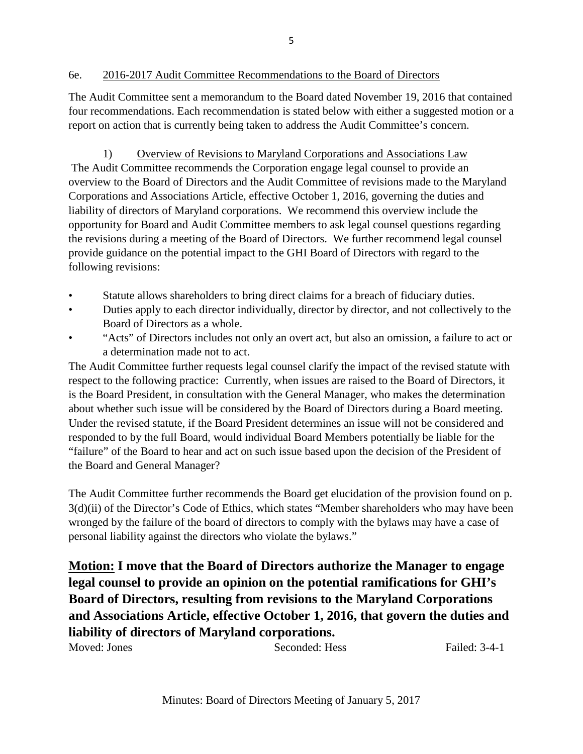The Audit Committee sent a memorandum to the Board dated November 19, 2016 that contained four recommendations. Each recommendation is stated below with either a suggested motion or a report on action that is currently being taken to address the Audit Committee's concern.

1) Overview of Revisions to Maryland Corporations and Associations Law The Audit Committee recommends the Corporation engage legal counsel to provide an overview to the Board of Directors and the Audit Committee of revisions made to the Maryland Corporations and Associations Article, effective October 1, 2016, governing the duties and liability of directors of Maryland corporations. We recommend this overview include the opportunity for Board and Audit Committee members to ask legal counsel questions regarding the revisions during a meeting of the Board of Directors. We further recommend legal counsel provide guidance on the potential impact to the GHI Board of Directors with regard to the following revisions:

- Statute allows shareholders to bring direct claims for a breach of fiduciary duties.
- Duties apply to each director individually, director by director, and not collectively to the Board of Directors as a whole.
- "Acts" of Directors includes not only an overt act, but also an omission, a failure to act or a determination made not to act.

The Audit Committee further requests legal counsel clarify the impact of the revised statute with respect to the following practice: Currently, when issues are raised to the Board of Directors, it is the Board President, in consultation with the General Manager, who makes the determination about whether such issue will be considered by the Board of Directors during a Board meeting. Under the revised statute, if the Board President determines an issue will not be considered and responded to by the full Board, would individual Board Members potentially be liable for the "failure" of the Board to hear and act on such issue based upon the decision of the President of the Board and General Manager?

The Audit Committee further recommends the Board get elucidation of the provision found on p. 3(d)(ii) of the Director's Code of Ethics, which states "Member shareholders who may have been wronged by the failure of the board of directors to comply with the bylaws may have a case of personal liability against the directors who violate the bylaws."

**Motion: I move that the Board of Directors authorize the Manager to engage legal counsel to provide an opinion on the potential ramifications for GHI's Board of Directors, resulting from revisions to the Maryland Corporations and Associations Article, effective October 1, 2016, that govern the duties and liability of directors of Maryland corporations.**

Moved: Jones Seconded: Hess Failed: 3-4-1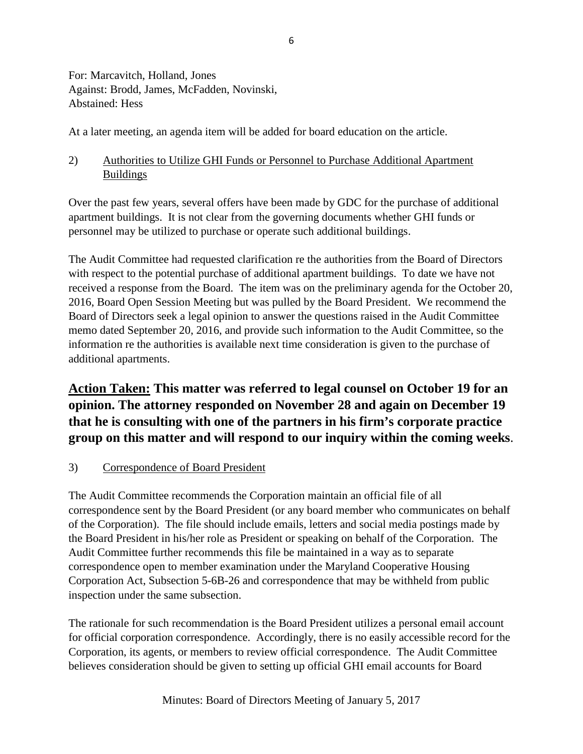For: Marcavitch, Holland, Jones Against: Brodd, James, McFadden, Novinski, Abstained: Hess

At a later meeting, an agenda item will be added for board education on the article.

### 2) Authorities to Utilize GHI Funds or Personnel to Purchase Additional Apartment Buildings

Over the past few years, several offers have been made by GDC for the purchase of additional apartment buildings. It is not clear from the governing documents whether GHI funds or personnel may be utilized to purchase or operate such additional buildings.

The Audit Committee had requested clarification re the authorities from the Board of Directors with respect to the potential purchase of additional apartment buildings. To date we have not received a response from the Board. The item was on the preliminary agenda for the October 20, 2016, Board Open Session Meeting but was pulled by the Board President. We recommend the Board of Directors seek a legal opinion to answer the questions raised in the Audit Committee memo dated September 20, 2016, and provide such information to the Audit Committee, so the information re the authorities is available next time consideration is given to the purchase of additional apartments.

# **Action Taken: This matter was referred to legal counsel on October 19 for an opinion. The attorney responded on November 28 and again on December 19 that he is consulting with one of the partners in his firm's corporate practice group on this matter and will respond to our inquiry within the coming weeks**.

### 3) Correspondence of Board President

The Audit Committee recommends the Corporation maintain an official file of all correspondence sent by the Board President (or any board member who communicates on behalf of the Corporation). The file should include emails, letters and social media postings made by the Board President in his/her role as President or speaking on behalf of the Corporation. The Audit Committee further recommends this file be maintained in a way as to separate correspondence open to member examination under the Maryland Cooperative Housing Corporation Act, Subsection 5-6B-26 and correspondence that may be withheld from public inspection under the same subsection.

The rationale for such recommendation is the Board President utilizes a personal email account for official corporation correspondence. Accordingly, there is no easily accessible record for the Corporation, its agents, or members to review official correspondence. The Audit Committee believes consideration should be given to setting up official GHI email accounts for Board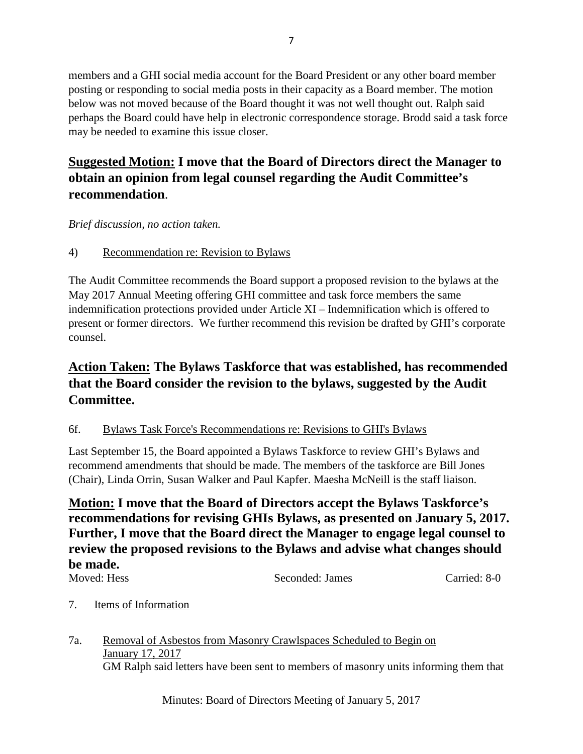members and a GHI social media account for the Board President or any other board member posting or responding to social media posts in their capacity as a Board member. The motion below was not moved because of the Board thought it was not well thought out. Ralph said perhaps the Board could have help in electronic correspondence storage. Brodd said a task force may be needed to examine this issue closer.

# **Suggested Motion: I move that the Board of Directors direct the Manager to obtain an opinion from legal counsel regarding the Audit Committee's recommendation**.

*Brief discussion, no action taken.*

4) Recommendation re: Revision to Bylaws

The Audit Committee recommends the Board support a proposed revision to the bylaws at the May 2017 Annual Meeting offering GHI committee and task force members the same indemnification protections provided under Article XI – Indemnification which is offered to present or former directors. We further recommend this revision be drafted by GHI's corporate counsel.

# **Action Taken: The Bylaws Taskforce that was established, has recommended that the Board consider the revision to the bylaws, suggested by the Audit Committee.**

### 6f. Bylaws Task Force's Recommendations re: Revisions to GHI's Bylaws

Last September 15, the Board appointed a Bylaws Taskforce to review GHI's Bylaws and recommend amendments that should be made. The members of the taskforce are Bill Jones (Chair), Linda Orrin, Susan Walker and Paul Kapfer. Maesha McNeill is the staff liaison.

# **Motion: I move that the Board of Directors accept the Bylaws Taskforce's recommendations for revising GHIs Bylaws, as presented on January 5, 2017. Further, I move that the Board direct the Manager to engage legal counsel to review the proposed revisions to the Bylaws and advise what changes should be made.**

Moved: Hess Seconded: James Carried: 8-0

### 7. Items of Information

7a. Removal of Asbestos from Masonry Crawlspaces Scheduled to Begin on January 17, 2017 GM Ralph said letters have been sent to members of masonry units informing them that

Minutes: Board of Directors Meeting of January 5, 2017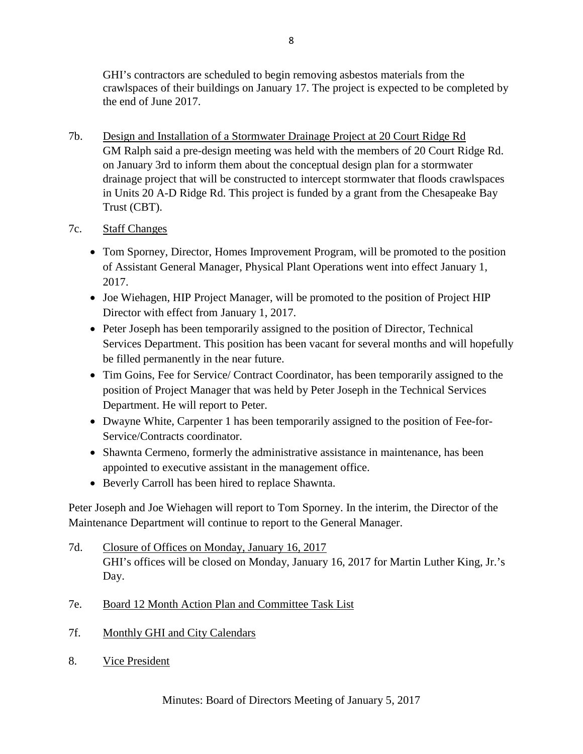GHI's contractors are scheduled to begin removing asbestos materials from the crawlspaces of their buildings on January 17. The project is expected to be completed by the end of June 2017.

7b. Design and Installation of a Stormwater Drainage Project at 20 Court Ridge Rd GM Ralph said a pre-design meeting was held with the members of 20 Court Ridge Rd. on January 3rd to inform them about the conceptual design plan for a stormwater drainage project that will be constructed to intercept stormwater that floods crawlspaces in Units 20 A-D Ridge Rd. This project is funded by a grant from the Chesapeake Bay Trust (CBT).

### 7c. Staff Changes

- Tom Sporney, Director, Homes Improvement Program, will be promoted to the position of Assistant General Manager, Physical Plant Operations went into effect January 1, 2017.
- Joe Wiehagen, HIP Project Manager, will be promoted to the position of Project HIP Director with effect from January 1, 2017.
- Peter Joseph has been temporarily assigned to the position of Director, Technical Services Department. This position has been vacant for several months and will hopefully be filled permanently in the near future.
- Tim Goins, Fee for Service/ Contract Coordinator, has been temporarily assigned to the position of Project Manager that was held by Peter Joseph in the Technical Services Department. He will report to Peter.
- Dwayne White, Carpenter 1 has been temporarily assigned to the position of Fee-for-Service/Contracts coordinator.
- Shawnta Cermeno, formerly the administrative assistance in maintenance, has been appointed to executive assistant in the management office.
- Beverly Carroll has been hired to replace Shawnta.

Peter Joseph and Joe Wiehagen will report to Tom Sporney. In the interim, the Director of the Maintenance Department will continue to report to the General Manager.

- 7d. Closure of Offices on Monday, January 16, 2017 GHI's offices will be closed on Monday, January 16, 2017 for Martin Luther King, Jr.'s Day.
- 7e. Board 12 Month Action Plan and Committee Task List
- 7f. Monthly GHI and City Calendars
- 8. Vice President